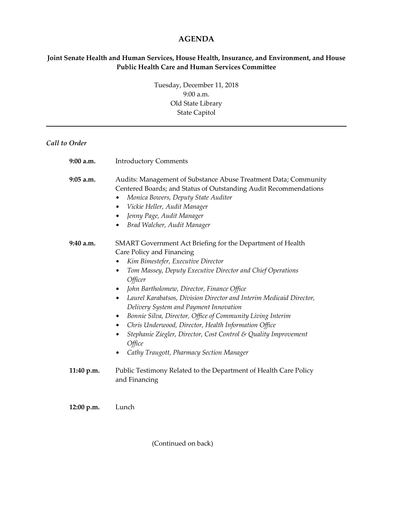## **AGENDA**

## **Joint Senate Health and Human Services, House Health, Insurance, and Environment, and House Public Health Care and Human Services Committee**

Tuesday, December 11, 2018 9:00 a.m. Old State Library State Capitol

## *Call to Order*

| $9:00$ a.m. | <b>Introductory Comments</b>                                                                                                                                                                                                                                                                                                                                                                                                                                                                                                                                                                                                                                  |
|-------------|---------------------------------------------------------------------------------------------------------------------------------------------------------------------------------------------------------------------------------------------------------------------------------------------------------------------------------------------------------------------------------------------------------------------------------------------------------------------------------------------------------------------------------------------------------------------------------------------------------------------------------------------------------------|
| 9:05 a.m.   | Audits: Management of Substance Abuse Treatment Data; Community<br>Centered Boards; and Status of Outstanding Audit Recommendations<br>Monica Bowers, Deputy State Auditor<br>Vickie Heller, Audit Manager<br>$\bullet$<br>Jenny Page, Audit Manager<br>$\bullet$<br>Brad Walcher, Audit Manager<br>$\bullet$                                                                                                                                                                                                                                                                                                                                                 |
| $9:40$ a.m. | SMART Government Act Briefing for the Department of Health<br>Care Policy and Financing<br>Kim Bimestefer, Executive Director<br>٠<br>Tom Massey, Deputy Executive Director and Chief Operations<br>Officer<br>John Bartholomew, Director, Finance Office<br>٠<br>Laurel Karabatsos, Division Director and Interim Medicaid Director,<br>$\bullet$<br>Delivery System and Payment Innovation<br>Bonnie Silva, Director, Office of Community Living Interim<br>Chris Underwood, Director, Health Information Office<br>$\bullet$<br>Stephanie Ziegler, Director, Cost Control & Quality Improvement<br>٠<br>Office<br>Cathy Traugott, Pharmacy Section Manager |
| 11:40 p.m.  | Public Testimony Related to the Department of Health Care Policy<br>and Financing                                                                                                                                                                                                                                                                                                                                                                                                                                                                                                                                                                             |

**12:00 p.m.** Lunch

(Continued on back)